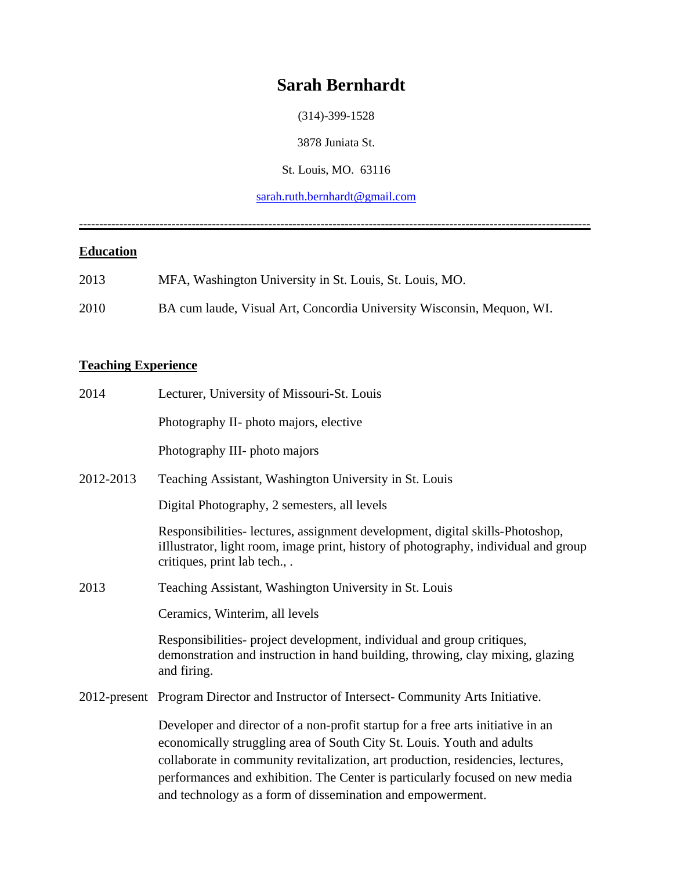# **Sarah Bernhardt**

(314)-399-1528

3878 Juniata St.

St. Louis, MO. 63116

[sarah.ruth.bernhardt@gmail.com](mailto:sarah.ruth.bernhardt@gmail.com)

-------------------------------------------------------------------------------------------------------------------------------

**Education**

- 2013 MFA, Washington University in St. Louis, St. Louis, MO.
- 2010 BA cum laude, Visual Art, Concordia University Wisconsin, Mequon, WI.

### **Teaching Experience**

| 2014      | Lecturer, University of Missouri-St. Louis                                                                                                                                                                                                                                                                                                                                                 |
|-----------|--------------------------------------------------------------------------------------------------------------------------------------------------------------------------------------------------------------------------------------------------------------------------------------------------------------------------------------------------------------------------------------------|
|           | Photography II- photo majors, elective                                                                                                                                                                                                                                                                                                                                                     |
|           | Photography III- photo majors                                                                                                                                                                                                                                                                                                                                                              |
| 2012-2013 | Teaching Assistant, Washington University in St. Louis                                                                                                                                                                                                                                                                                                                                     |
|           | Digital Photography, 2 semesters, all levels                                                                                                                                                                                                                                                                                                                                               |
|           | Responsibilities- lectures, assignment development, digital skills-Photoshop,<br>iIllustrator, light room, image print, history of photography, individual and group<br>critiques, print lab tech., .                                                                                                                                                                                      |
| 2013      | Teaching Assistant, Washington University in St. Louis                                                                                                                                                                                                                                                                                                                                     |
|           | Ceramics, Winterim, all levels                                                                                                                                                                                                                                                                                                                                                             |
|           | Responsibilities- project development, individual and group critiques,<br>demonstration and instruction in hand building, throwing, clay mixing, glazing<br>and firing.                                                                                                                                                                                                                    |
|           | 2012-present Program Director and Instructor of Intersect-Community Arts Initiative.                                                                                                                                                                                                                                                                                                       |
|           | Developer and director of a non-profit startup for a free arts initiative in an<br>economically struggling area of South City St. Louis. Youth and adults<br>collaborate in community revitalization, art production, residencies, lectures,<br>performances and exhibition. The Center is particularly focused on new media<br>and technology as a form of dissemination and empowerment. |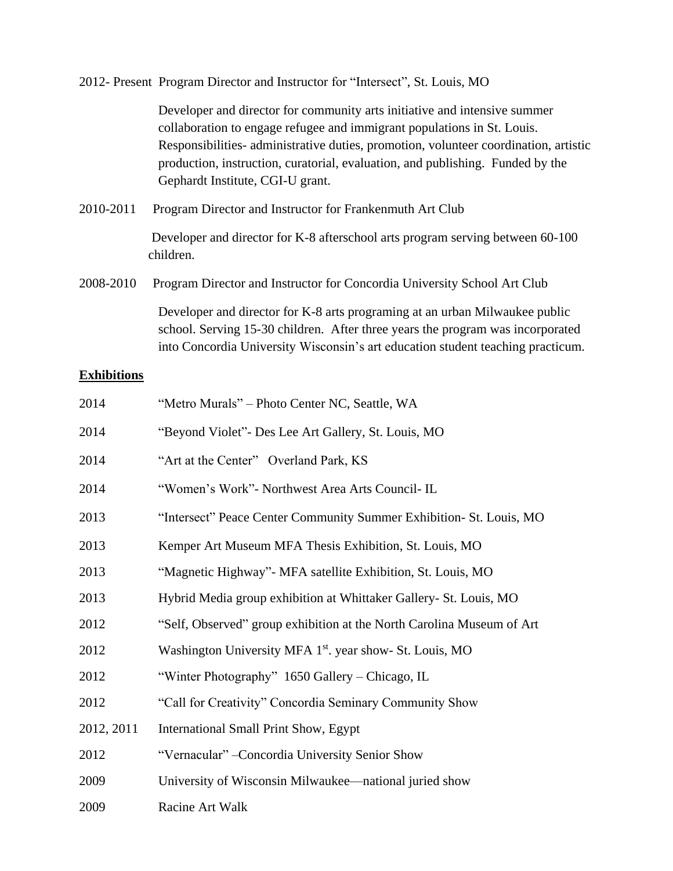2012- Present Program Director and Instructor for "Intersect", St. Louis, MO

Developer and director for community arts initiative and intensive summer collaboration to engage refugee and immigrant populations in St. Louis. Responsibilities- administrative duties, promotion, volunteer coordination, artistic production, instruction, curatorial, evaluation, and publishing. Funded by the Gephardt Institute, CGI-U grant.

2010-2011 Program Director and Instructor for Frankenmuth Art Club

Developer and director for K-8 afterschool arts program serving between 60-100 children.

2008-2010 Program Director and Instructor for Concordia University School Art Club

Developer and director for K-8 arts programing at an urban Milwaukee public school. Serving 15-30 children. After three years the program was incorporated into Concordia University Wisconsin's art education student teaching practicum.

#### **Exhibitions**

| 2014       | "Metro Murals" – Photo Center NC, Seattle, WA                         |
|------------|-----------------------------------------------------------------------|
| 2014       | "Beyond Violet" - Des Lee Art Gallery, St. Louis, MO                  |
| 2014       | "Art at the Center" Overland Park, KS                                 |
| 2014       | "Women's Work"- Northwest Area Arts Council- IL                       |
| 2013       | "Intersect" Peace Center Community Summer Exhibition- St. Louis, MO   |
| 2013       | Kemper Art Museum MFA Thesis Exhibition, St. Louis, MO                |
| 2013       | "Magnetic Highway" MFA satellite Exhibition, St. Louis, MO            |
| 2013       | Hybrid Media group exhibition at Whittaker Gallery- St. Louis, MO     |
| 2012       | "Self, Observed" group exhibition at the North Carolina Museum of Art |
| 2012       | Washington University MFA 1 <sup>st</sup> . year show- St. Louis, MO  |
| 2012       | "Winter Photography" 1650 Gallery – Chicago, IL                       |
| 2012       | "Call for Creativity" Concordia Seminary Community Show               |
| 2012, 2011 | International Small Print Show, Egypt                                 |
| 2012       | "Vernacular" - Concordia University Senior Show                       |
| 2009       | University of Wisconsin Milwaukee—national juried show                |
| 2009       | Racine Art Walk                                                       |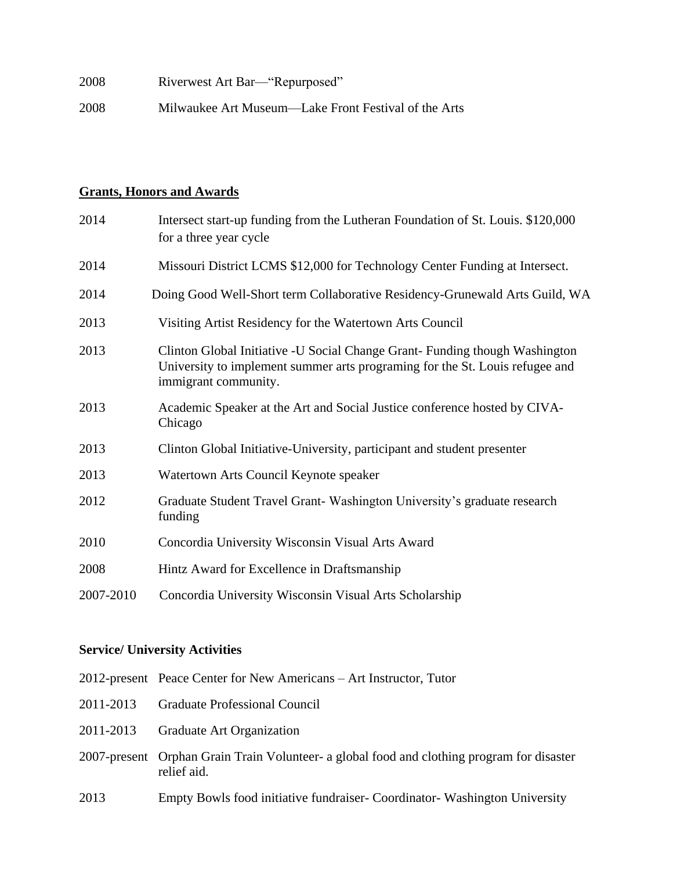2008 Riverwest Art Bar—"Repurposed"

2008 Milwaukee Art Museum—Lake Front Festival of the Arts

## **Grants, Honors and Awards**

| 2014      | Intersect start-up funding from the Lutheran Foundation of St. Louis. \$120,000<br>for a three year cycle                                                                           |
|-----------|-------------------------------------------------------------------------------------------------------------------------------------------------------------------------------------|
| 2014      | Missouri District LCMS \$12,000 for Technology Center Funding at Intersect.                                                                                                         |
| 2014      | Doing Good Well-Short term Collaborative Residency-Grunewald Arts Guild, WA                                                                                                         |
| 2013      | Visiting Artist Residency for the Watertown Arts Council                                                                                                                            |
| 2013      | Clinton Global Initiative -U Social Change Grant- Funding though Washington<br>University to implement summer arts programing for the St. Louis refugee and<br>immigrant community. |
| 2013      | Academic Speaker at the Art and Social Justice conference hosted by CIVA-<br>Chicago                                                                                                |
| 2013      | Clinton Global Initiative-University, participant and student presenter                                                                                                             |
| 2013      | Watertown Arts Council Keynote speaker                                                                                                                                              |
| 2012      | Graduate Student Travel Grant-Washington University's graduate research<br>funding                                                                                                  |
| 2010      | Concordia University Wisconsin Visual Arts Award                                                                                                                                    |
| 2008      | Hintz Award for Excellence in Draftsmanship                                                                                                                                         |
| 2007-2010 | Concordia University Wisconsin Visual Arts Scholarship                                                                                                                              |

## **Service/ University Activities**

|           | 2012-present Peace Center for New Americans – Art Instructor, Tutor                                       |
|-----------|-----------------------------------------------------------------------------------------------------------|
| 2011-2013 | <b>Graduate Professional Council</b>                                                                      |
|           | 2011-2013 Graduate Art Organization                                                                       |
|           | 2007-present Orphan Grain Train Volunteer- a global food and clothing program for disaster<br>relief aid. |
| 2013      | Empty Bowls food initiative fundraiser- Coordinator- Washington University                                |